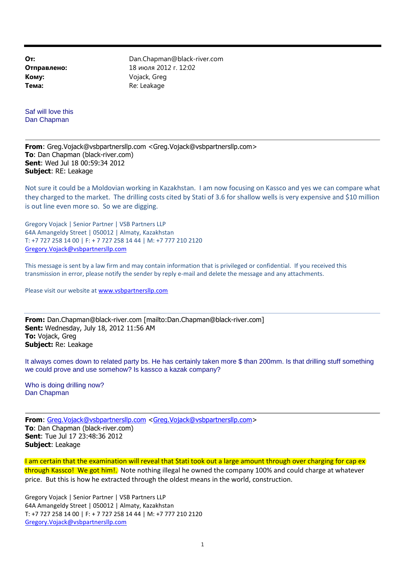**Кому:** Vojack, Greg **Тема:** Re: Leakage

**От:** Dan.Chapman@black-river.com **Отправлено:** 18 июля 2012 г. 12:02

Saf will love this Dan Chapman

**From**: Greg.Vojack@vsbpartnersllp.com <Greg.Vojack@vsbpartnersllp.com> **To**: Dan Chapman (black-river.com) **Sent**: Wed Jul 18 00:59:34 2012 **Subject**: RE: Leakage

Not sure it could be a Moldovian working in Kazakhstan. I am now focusing on Kassco and yes we can compare what they charged to the market. The drilling costs cited by Stati of 3.6 for shallow wells is very expensive and \$10 million is out line even more so. So we are digging.

Gregory Vojack | Senior Partner | VSB Partners LLP 64A Amangeldy Street | 050012 | Almaty, Kazakhstan T: +7 727 258 14 00 | F: + 7 727 258 14 44 | M: +7 777 210 2120 Gregory.Vojack@vsbpartnersllp.com

This message is sent by a law firm and may contain information that is privileged or confidential. If you received this transmission in error, please notify the sender by reply e-mail and delete the message and any attachments.

Please visit our website at **www.vsbpartnersllp.com** 

**From:** Dan.Chapman@black-river.com [mailto:Dan.Chapman@black-river.com] **Sent:** Wednesday, July 18, 2012 11:56 AM **To:** Vojack, Greg **Subject:** Re: Leakage

It always comes down to related party bs. He has certainly taken more \$ than 200mm. Is that drilling stuff something we could prove and use somehow? Is kassco a kazak company?

Who is doing drilling now? Dan Chapman

From: Greg.Vojack@vsbpartnersllp.com <Greg.Vojack@vsbpartnersllp.com> **To**: Dan Chapman (black-river.com) **Sent**: Tue Jul 17 23:48:36 2012 **Subject**: Leakage

I am certain that the examination will reveal that Stati took out a large amount through over charging for cap ex through Kassco! We got him!. Note nothing illegal he owned the company 100% and could charge at whatever price. But this is how he extracted through the oldest means in the world, construction.

Gregory Vojack | Senior Partner | VSB Partners LLP 64A Amangeldy Street | 050012 | Almaty, Kazakhstan T: +7 727 258 14 00 | F: + 7 727 258 14 44 | M: +7 777 210 2120 Gregory.Vojack@vsbpartnersllp.com